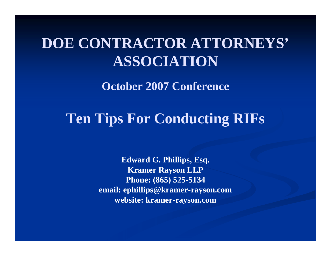## **DOE CONTRACTOR ATTORNEYS' ASSOCIATION**

**October 2007 Conference**

### **Ten Tips For Conducting RIFs**

**Edward G. Phillips, Esq. Kramer Rayson LLP Phone: (865) 525-5134 email: ephillips@kramer-rayson.com website: kramer-rayson.com**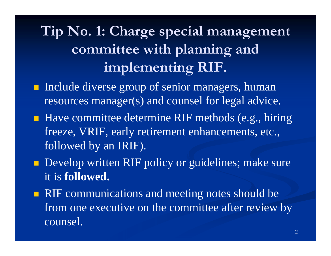# **Tip No. 1: Charge special management committee with planning and implementing RIF.**

- **Include diverse group of senior managers, human** resources manager(s) and counsel for legal advice.
- Have committee determine RIF methods (e.g., hiring freeze, VRIF, early retirement enhancements, etc., followed by an IRIF).
- **Develop written RIF policy or guidelines; make sure** it is **followed.**
- **RIF** communications and meeting notes should be from one executive on the committee after review by counsel.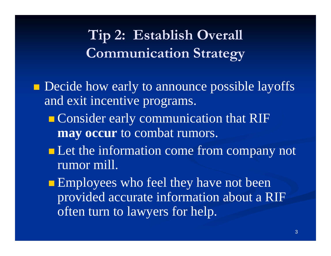## **Tip 2: Establish Overall Communication Strategy**

**Decide how early to announce possible layoffs** and exit incentive programs.

- **Consider early communication that RIF may occur** to combat rumors.
- **Let the information come from company not** rumor mill.
- **Employees who feel they have not been** provided accurate information about a RIF often turn to lawyers for help.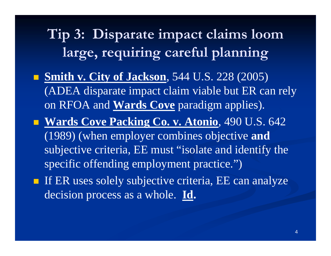**Tip 3: Disparate impact claims loom large, requiring careful planning**

- **Smith v. City of Jackson**, 544 U.S. 228 (2005) (ADEA disparate impact claim viable but ER can rely on RFOA and **Wards Cove** paradigm applies).
- **Wards Cove Packing Co. v. Atonio**, 490 U.S. 642 (1989) (when employer combines objective **and**  subjective criteria, EE must "isolate and identify the specific offending employment practice.")
- If ER uses solely subjective criteria, EE can analyze decision process as a whole. **Id.**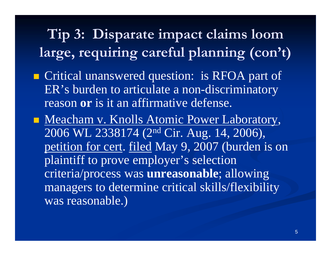**Tip 3: Disparate impact claims loom large, requiring careful planning (con't)**

- **Critical unanswered question: is RFOA part of** ER's burden to articulate a non-discriminatory reason **or** is it an affirmative defense.
- Meacham v. Knolls Atomic Power Laboratory, 2006 WL 2338174 (2nd Cir. Aug. 14, 2006), petition for cert. filed May 9, 2007 (burden is on plaintiff to prove employer's selection criteria/process was **unreasonable**; allowing managers to determine critical skills/flexibility was reasonable.)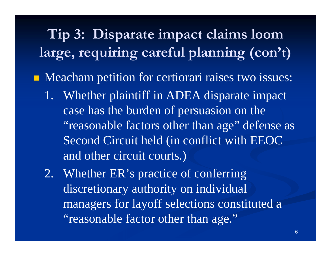# **Tip 3: Disparate impact claims loom large, requiring careful planning (con't)**

**Meacham** petition for certiorari raises two issues:

- 1. Whether plaintiff in ADEA disparate impact case has the burden of persuasion on the "reasonable factors other than age" defense as Second Circuit held (in conflict with EEOC and other circuit courts.)
- 2. Whether ER's practice of conferring discretionary authority on individual managers for layoff selections constituted a "reasonable factor other than age."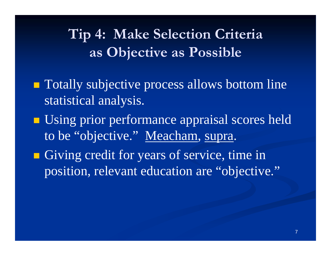## **Tip 4: Make Selection Criteria as Objective as Possible**

- **Totally subjective process allows bottom line** statistical analysis.
- **Using prior performance appraisal scores held** to be "objective." Meacham, supra.
- **Giving credit for years of service, time in** position, relevant education are "objective."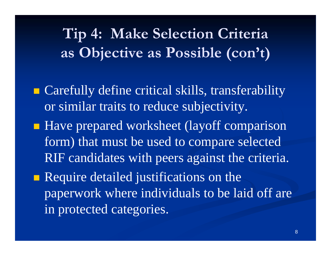**Tip 4: Make Selection Criteria as Objective as Possible (con't)**

- **Example 21 Carefully define critical skills, transferability** or similar traits to reduce subjectivity.
- Have prepared worksheet (layoff comparison form) that must be used to compare selected RIF candidates with peers against the criteria.
- **Require detailed justifications on the** paperwork where individuals to be laid off are in protected categories.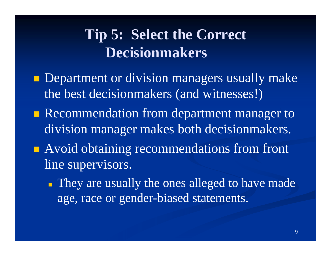## **Tip 5: Select the Correct Decisionmakers**

- **Department or division managers usually make** the best decisionmakers (and witnesses!)
- Recommendation from department manager to division manager makes both decisionmakers.
- **Avoid obtaining recommendations from front** line supervisors.
	- **They are usually the ones alleged to have made** age, race or gender-biased statements.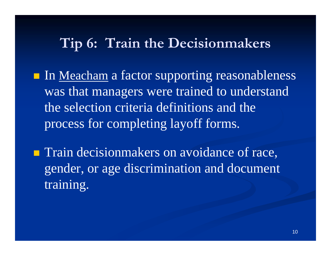#### **Tip 6: Train the Decisionmakers**

- In <u>Meacham</u> a factor supporting reasonableness was that managers were trained to understand the selection criteria definitions and the process for completing layoff forms.
- **Train decisionmakers on avoidance of race,** gender, or age discrimination and document training.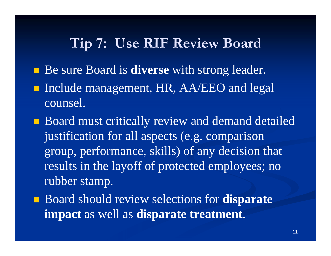### **Tip 7: Use RIF Review Board**

- **Be sure Board is diverse** with strong leader.
- Include management, HR, AA/EEO and legal counsel.
- **Board must critically review and demand detailed** justification for all aspects (e.g. comparison group, performance, skills) of any decision that results in the layoff of protected employees; no rubber stamp.
- Board should review selections for **disparate impact** as well as **disparate treatment**.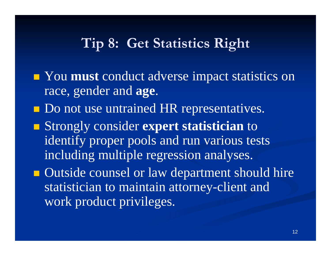### **Tip 8: Get Statistics Right**

- **Nou must** conduct adverse impact statistics on race, gender and **age**.
- **Do not use untrained HR representatives.**
- Strongly consider **expert statistician** to identify proper pools and run various tests including multiple regression analyses.
- **Outside counsel or law department should hire** statistician to maintain attorney-client and work product privileges.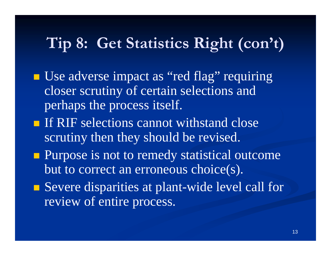## **Tip 8: Get Statistics Right (con't)**

- Use adverse impact as "red flag" requiring closer scrutiny of certain selections and perhaps the process itself.
- **If RIF selections cannot withstand close** scrutiny then they should be revised.
- **Purpose is not to remedy statistical outcome** but to correct an erroneous choice(s).
- Severe disparities at plant-wide level call for review of entire process.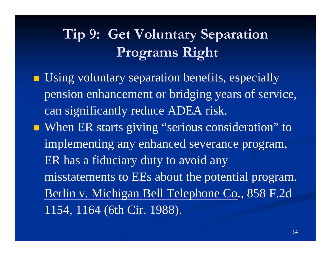# **Tip 9: Get Voluntary Separation Programs Right**

- **Using voluntary separation benefits, especially** pension enhancement or bridging years of service, can significantly reduce ADEA risk.
- When ER starts giving "serious consideration" to implementing any enhanced severance program, ER has a fiduciary duty to avoid any misstatements to EEs about the potential program. Berlin v. Michigan Bell Telephone Co., 858 F.2d 1154, 1164 (6th Cir. 1988).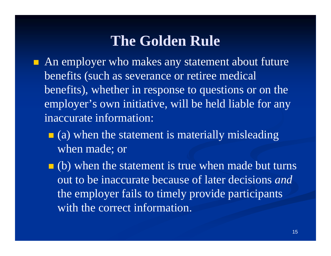### **The Golden Rule**

- **An employer who makes any statement about future** benefits (such as severance or retiree medical benefits), whether in response to questions or on the employer's own initiative, will be held liable for any inaccurate information:
	- $\blacksquare$  (a) when the statement is materially misleading when made; or
	- $\blacksquare$  (b) when the statement is true when made but turns out to be inaccurate because of later decisions *and*the employer fails to timely provide participants with the correct information.